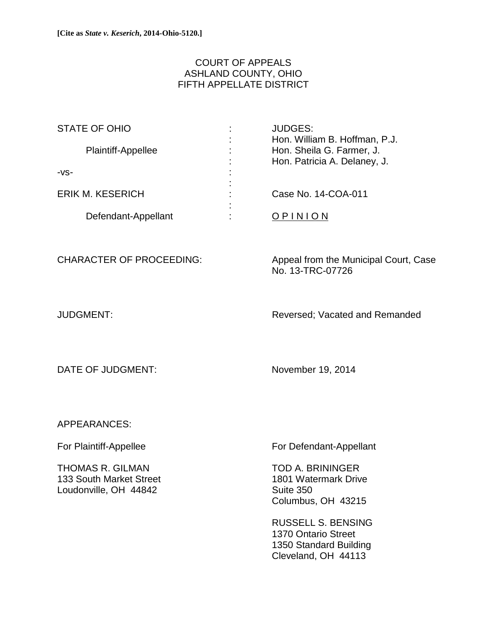## COURT OF APPEALS ASHLAND COUNTY, OHIO FIFTH APPELLATE DISTRICT

| <b>STATE OF OHIO</b> |                               | <b>JUDGES:</b>                                             |
|----------------------|-------------------------------|------------------------------------------------------------|
| Plaintiff-Appellee   | ٠<br>$\overline{\phantom{a}}$ | Hon. William B. Hoffman, P.J.<br>Hon. Sheila G. Farmer, J. |
|                      | ٠                             | Hon. Patricia A. Delaney, J.                               |
| $-VS-$               | ٠                             |                                                            |
| ERIK M. KESERICH     |                               | Case No. 14-COA-011                                        |
| Defendant-Appellant  |                               |                                                            |

CHARACTER OF PROCEEDING: Appeal from the Municipal Court, Case No. 13-TRC-07726

JUDGMENT: Reversed; Vacated and Remanded

DATE OF JUDGMENT: November 19, 2014

APPEARANCES:

THOMAS R. GILMAN TOD A. BRININGER 133 South Market Street 1801 Watermark Drive Loudonville, OH 44842 Suite 350

For Plaintiff-Appellee For Defendant-Appellant

Columbus, OH 43215

 RUSSELL S. BENSING 1370 Ontario Street 1350 Standard Building Cleveland, OH 44113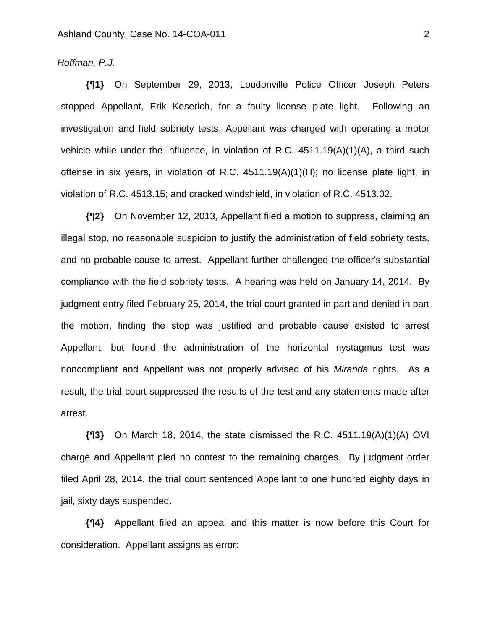## *Hoffman, P.J.*

**{¶1}** On September 29, 2013, Loudonville Police Officer Joseph Peters stopped Appellant, Erik Keserich, for a faulty license plate light. Following an investigation and field sobriety tests, Appellant was charged with operating a motor vehicle while under the influence, in violation of R.C. 4511.19(A)(1)(A), a third such offense in six years, in violation of R.C. 4511.19(A)(1)(H); no license plate light, in violation of R.C. 4513.15; and cracked windshield, in violation of R.C. 4513.02.

**{¶2}** On November 12, 2013, Appellant filed a motion to suppress, claiming an illegal stop, no reasonable suspicion to justify the administration of field sobriety tests, and no probable cause to arrest. Appellant further challenged the officer's substantial compliance with the field sobriety tests. A hearing was held on January 14, 2014. By judgment entry filed February 25, 2014, the trial court granted in part and denied in part the motion, finding the stop was justified and probable cause existed to arrest Appellant, but found the administration of the horizontal nystagmus test was noncompliant and Appellant was not properly advised of his *Miranda* rights. As a result, the trial court suppressed the results of the test and any statements made after arrest.

**{¶3}** On March 18, 2014, the state dismissed the R.C. 4511.19(A)(1)(A) OVI charge and Appellant pled no contest to the remaining charges. By judgment order filed April 28, 2014, the trial court sentenced Appellant to one hundred eighty days in jail, sixty days suspended.

**{¶4}** Appellant filed an appeal and this matter is now before this Court for consideration. Appellant assigns as error: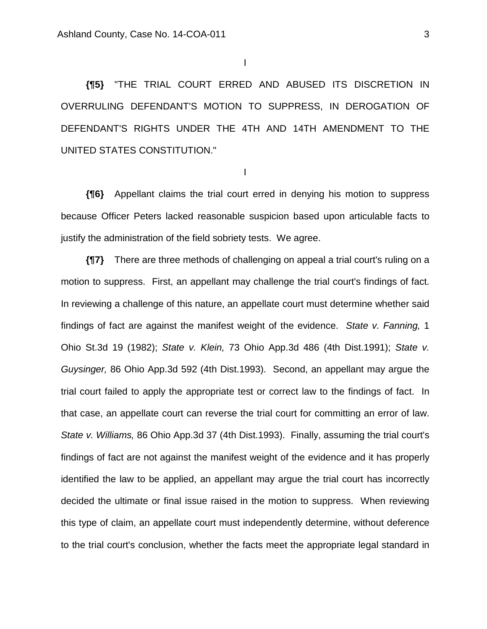I

**{¶5}** "THE TRIAL COURT ERRED AND ABUSED ITS DISCRETION IN OVERRULING DEFENDANT'S MOTION TO SUPPRESS, IN DEROGATION OF DEFENDANT'S RIGHTS UNDER THE 4TH AND 14TH AMENDMENT TO THE UNITED STATES CONSTITUTION."

I

**{¶6}** Appellant claims the trial court erred in denying his motion to suppress because Officer Peters lacked reasonable suspicion based upon articulable facts to justify the administration of the field sobriety tests. We agree.

**{¶7}** There are three methods of challenging on appeal a trial court's ruling on a motion to suppress. First, an appellant may challenge the trial court's findings of fact. In reviewing a challenge of this nature, an appellate court must determine whether said findings of fact are against the manifest weight of the evidence. *State v. Fanning,* 1 Ohio St.3d 19 (1982); *State v. Klein,* 73 Ohio App.3d 486 (4th Dist.1991); *State v. Guysinger,* 86 Ohio App.3d 592 (4th Dist.1993). Second, an appellant may argue the trial court failed to apply the appropriate test or correct law to the findings of fact. In that case, an appellate court can reverse the trial court for committing an error of law. *State v. Williams,* 86 Ohio App.3d 37 (4th Dist.1993). Finally, assuming the trial court's findings of fact are not against the manifest weight of the evidence and it has properly identified the law to be applied, an appellant may argue the trial court has incorrectly decided the ultimate or final issue raised in the motion to suppress. When reviewing this type of claim, an appellate court must independently determine, without deference to the trial court's conclusion, whether the facts meet the appropriate legal standard in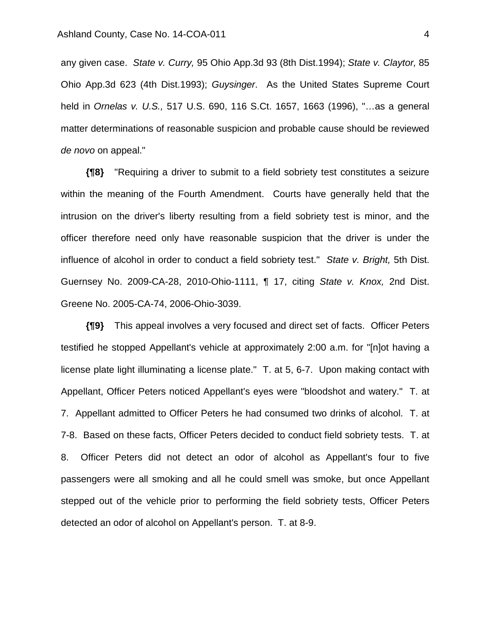any given case. *State v. Curry,* 95 Ohio App.3d 93 (8th Dist.1994); *State v. Claytor,* 85 Ohio App.3d 623 (4th Dist.1993); *Guysinger*. As the United States Supreme Court held in *Ornelas v. U.S.,* 517 U.S. 690, 116 S.Ct. 1657, 1663 (1996), "…as a general matter determinations of reasonable suspicion and probable cause should be reviewed *de novo* on appeal."

**{¶8}** "Requiring a driver to submit to a field sobriety test constitutes a seizure within the meaning of the Fourth Amendment. Courts have generally held that the intrusion on the driver's liberty resulting from a field sobriety test is minor, and the officer therefore need only have reasonable suspicion that the driver is under the influence of alcohol in order to conduct a field sobriety test." *State v. Bright,* 5th Dist. Guernsey No. 2009-CA-28, 2010-Ohio-1111, ¶ 17, citing *State v. Knox,* 2nd Dist. Greene No. 2005-CA-74, 2006-Ohio-3039.

**{¶9}** This appeal involves a very focused and direct set of facts. Officer Peters testified he stopped Appellant's vehicle at approximately 2:00 a.m. for "[n]ot having a license plate light illuminating a license plate." T. at 5, 6-7. Upon making contact with Appellant, Officer Peters noticed Appellant's eyes were "bloodshot and watery." T. at 7. Appellant admitted to Officer Peters he had consumed two drinks of alcohol. T. at 7-8. Based on these facts, Officer Peters decided to conduct field sobriety tests. T. at 8. Officer Peters did not detect an odor of alcohol as Appellant's four to five passengers were all smoking and all he could smell was smoke, but once Appellant stepped out of the vehicle prior to performing the field sobriety tests, Officer Peters detected an odor of alcohol on Appellant's person. T. at 8-9.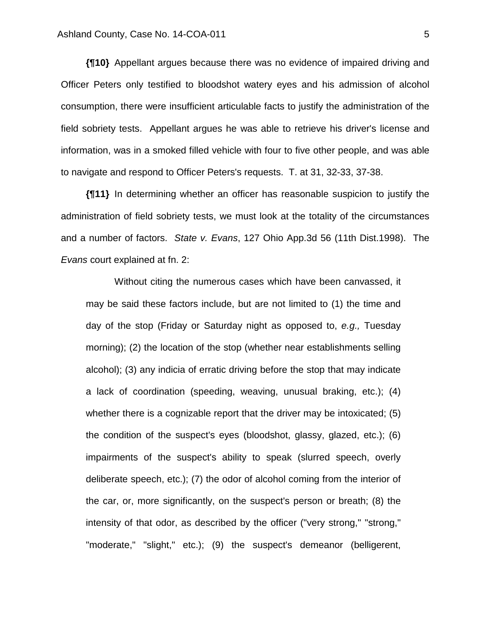**{¶10}** Appellant argues because there was no evidence of impaired driving and Officer Peters only testified to bloodshot watery eyes and his admission of alcohol consumption, there were insufficient articulable facts to justify the administration of the field sobriety tests. Appellant argues he was able to retrieve his driver's license and information, was in a smoked filled vehicle with four to five other people, and was able to navigate and respond to Officer Peters's requests. T. at 31, 32-33, 37-38.

**{¶11}** In determining whether an officer has reasonable suspicion to justify the administration of field sobriety tests, we must look at the totality of the circumstances and a number of factors. *State v. Evans*, 127 Ohio App.3d 56 (11th Dist.1998). The *Evans* court explained at fn. 2:

Without citing the numerous cases which have been canvassed, it may be said these factors include, but are not limited to (1) the time and day of the stop (Friday or Saturday night as opposed to, *e.g.,* Tuesday morning); (2) the location of the stop (whether near establishments selling alcohol); (3) any indicia of erratic driving before the stop that may indicate a lack of coordination (speeding, weaving, unusual braking, etc.); (4) whether there is a cognizable report that the driver may be intoxicated; (5) the condition of the suspect's eyes (bloodshot, glassy, glazed, etc.); (6) impairments of the suspect's ability to speak (slurred speech, overly deliberate speech, etc.); (7) the odor of alcohol coming from the interior of the car, or, more significantly, on the suspect's person or breath; (8) the intensity of that odor, as described by the officer ("very strong," "strong," "moderate," "slight," etc.); (9) the suspect's demeanor (belligerent,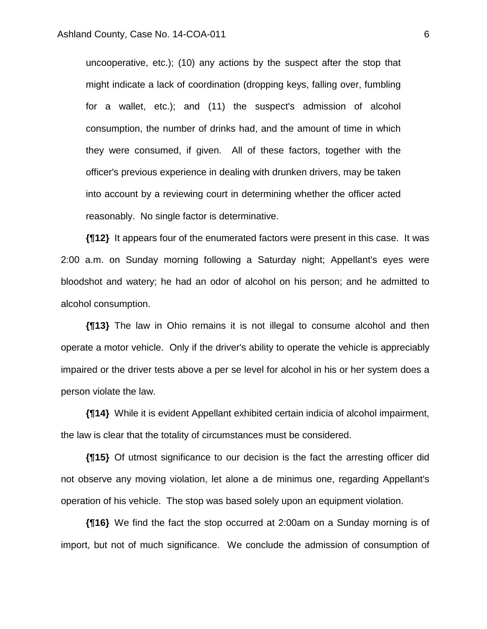uncooperative, etc.); (10) any actions by the suspect after the stop that might indicate a lack of coordination (dropping keys, falling over, fumbling for a wallet, etc.); and (11) the suspect's admission of alcohol consumption, the number of drinks had, and the amount of time in which they were consumed, if given. All of these factors, together with the officer's previous experience in dealing with drunken drivers, may be taken into account by a reviewing court in determining whether the officer acted reasonably. No single factor is determinative.

**{¶12}** It appears four of the enumerated factors were present in this case. It was 2:00 a.m. on Sunday morning following a Saturday night; Appellant's eyes were bloodshot and watery; he had an odor of alcohol on his person; and he admitted to alcohol consumption.

**{¶13}** The law in Ohio remains it is not illegal to consume alcohol and then operate a motor vehicle. Only if the driver's ability to operate the vehicle is appreciably impaired or the driver tests above a per se level for alcohol in his or her system does a person violate the law.

**{¶14}** While it is evident Appellant exhibited certain indicia of alcohol impairment, the law is clear that the totality of circumstances must be considered.

**{¶15}** Of utmost significance to our decision is the fact the arresting officer did not observe any moving violation, let alone a de minimus one, regarding Appellant's operation of his vehicle. The stop was based solely upon an equipment violation.

**{¶16}** We find the fact the stop occurred at 2:00am on a Sunday morning is of import, but not of much significance. We conclude the admission of consumption of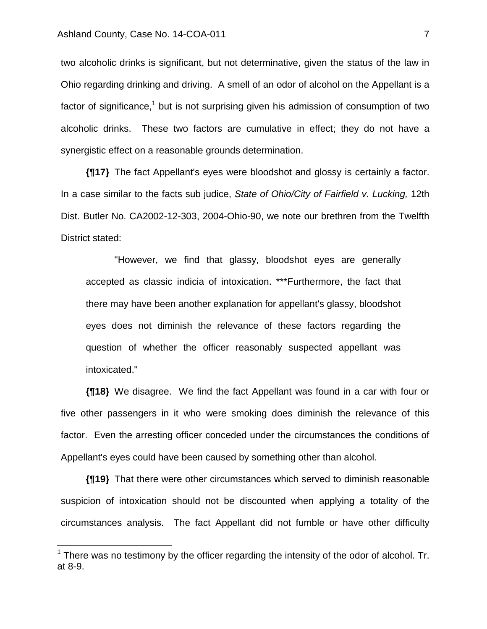1

two alcoholic drinks is significant, but not determinative, given the status of the law in Ohio regarding drinking and driving. A smell of an odor of alcohol on the Appellant is a factor of significance,<sup>1</sup> but is not surprising given his admission of consumption of two alcoholic drinks. These two factors are cumulative in effect; they do not have a synergistic effect on a reasonable grounds determination.

**{¶17}** The fact Appellant's eyes were bloodshot and glossy is certainly a factor. In a case similar to the facts sub judice, *State of Ohio/City of Fairfield v. Lucking,* 12th Dist. Butler No. CA2002-12-303, 2004-Ohio-90, we note our brethren from the Twelfth District stated:

 "However, we find that glassy, bloodshot eyes are generally accepted as classic indicia of intoxication. \*\*\*Furthermore, the fact that there may have been another explanation for appellant's glassy, bloodshot eyes does not diminish the relevance of these factors regarding the question of whether the officer reasonably suspected appellant was intoxicated."

**{¶18}** We disagree. We find the fact Appellant was found in a car with four or five other passengers in it who were smoking does diminish the relevance of this factor. Even the arresting officer conceded under the circumstances the conditions of Appellant's eyes could have been caused by something other than alcohol.

**{¶19}** That there were other circumstances which served to diminish reasonable suspicion of intoxication should not be discounted when applying a totality of the circumstances analysis. The fact Appellant did not fumble or have other difficulty

 $1$  There was no testimony by the officer regarding the intensity of the odor of alcohol. Tr. at 8-9.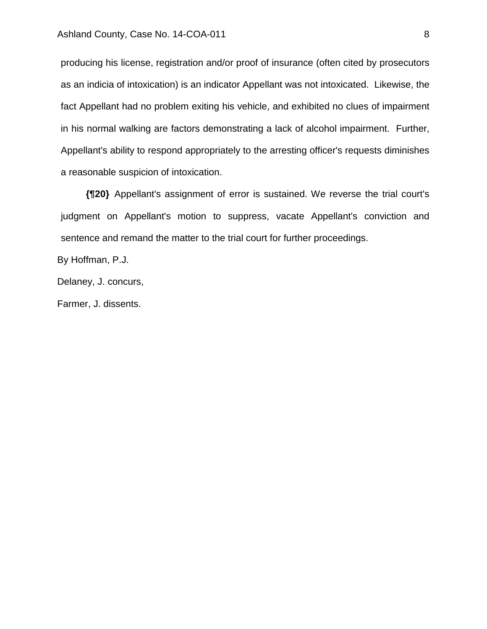producing his license, registration and/or proof of insurance (often cited by prosecutors as an indicia of intoxication) is an indicator Appellant was not intoxicated. Likewise, the fact Appellant had no problem exiting his vehicle, and exhibited no clues of impairment in his normal walking are factors demonstrating a lack of alcohol impairment. Further, Appellant's ability to respond appropriately to the arresting officer's requests diminishes a reasonable suspicion of intoxication.

**{¶20}** Appellant's assignment of error is sustained. We reverse the trial court's judgment on Appellant's motion to suppress, vacate Appellant's conviction and sentence and remand the matter to the trial court for further proceedings.

By Hoffman, P.J.

Delaney, J. concurs,

Farmer, J. dissents.